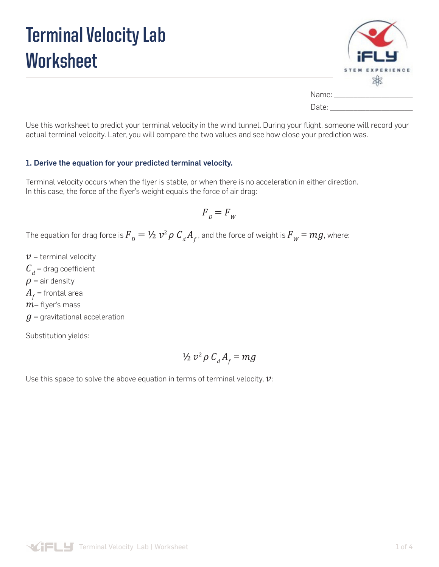# **Terminal Velocity Lab Worksheet**



Use this worksheet to predict your terminal velocity in the wind tunnel. During your flight, someone will record your actual terminal velocity. Later, you will compare the two values and see how close your prediction was.

## 1. Derive the equation for your predicted terminal velocity.

Terminal velocity occurs when the flyer is stable, or when there is no acceleration in either direction. In this case, the force of the flyer's weight equals the force of air drag:

$$
\boldsymbol{F}_{\boldsymbol{D}} = \boldsymbol{F}_{\boldsymbol{W}}
$$

The equation for drag force is  $F_{\overline D}$   $=$   $1\!\!/_{\rm 2}$   $\nu^2\rho$   ${\cal C}_dA_{\overline f}$  , and the force of weight is  $F_{\overline W}$   $=$   $mg$  , where:

 $v =$  terminal velocity  $\boldsymbol{C}_d$  = drag coefficient  $\rho$  = air density  $A_{\overline{f}}$  = frontal area  $m$ = flyer's mass  $q$  = gravitational acceleration

Substitution yields:

$$
\frac{1}{2} v^2 \rho C_d A_f = mg
$$

Use this space to solve the above equation in terms of terminal velocity,  $v$ :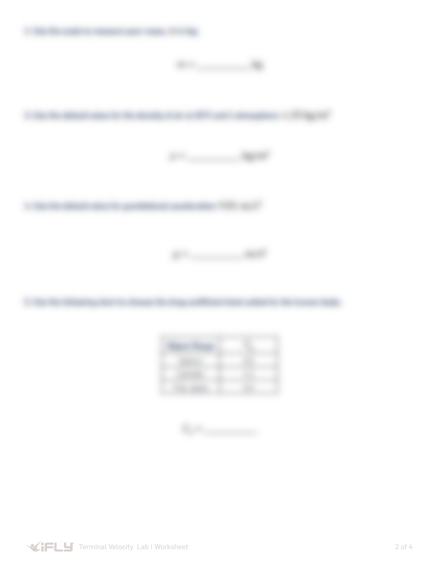

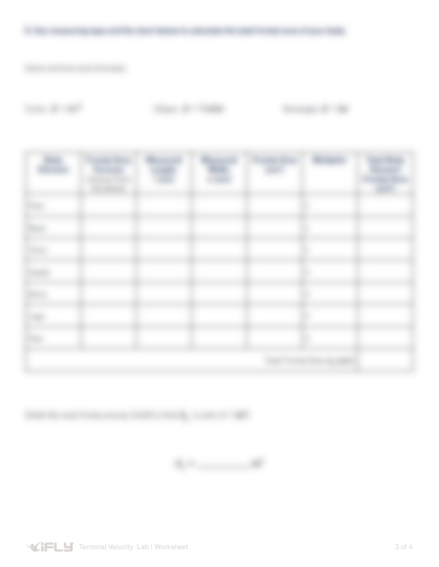